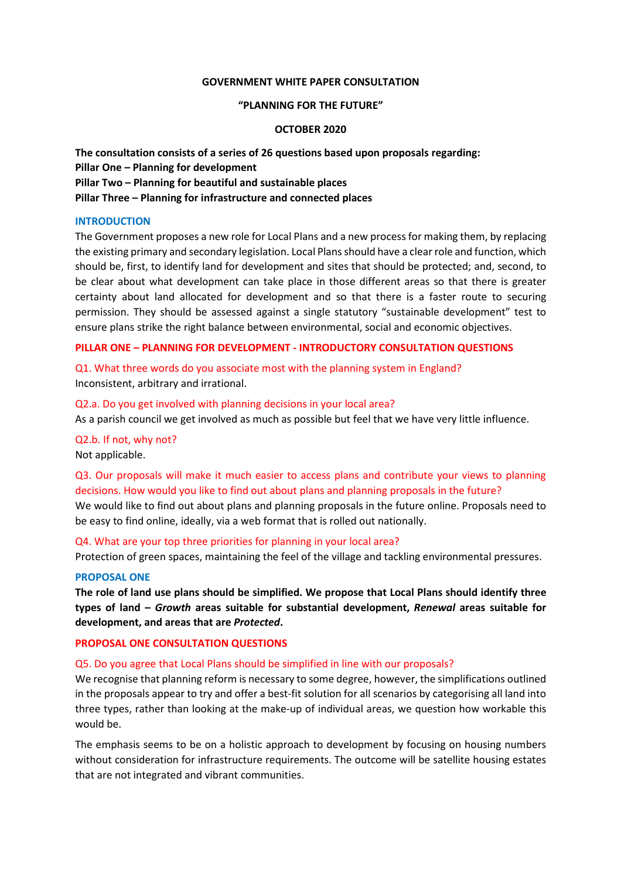### **GOVERNMENT WHITE PAPER CONSULTATION**

### **"PLANNING FOR THE FUTURE"**

### **OCTOBER 2020**

**The consultation consists of a series of 26 questions based upon proposals regarding: Pillar One – Planning for development Pillar Two – Planning for beautiful and sustainable places Pillar Three – Planning for infrastructure and connected places** 

### **INTRODUCTION**

The Government proposes a new role for Local Plans and a new process for making them, by replacing the existing primary and secondary legislation. Local Plans should have a clear role and function, which should be, first, to identify land for development and sites that should be protected; and, second, to be clear about what development can take place in those different areas so that there is greater certainty about land allocated for development and so that there is a faster route to securing permission. They should be assessed against a single statutory "sustainable development" test to ensure plans strike the right balance between environmental, social and economic objectives.

# **PILLAR ONE – PLANNING FOR DEVELOPMENT - INTRODUCTORY CONSULTATION QUESTIONS**

Q1. What three words do you associate most with the planning system in England? Inconsistent, arbitrary and irrational.

Q2.a. Do you get involved with planning decisions in your local area? As a parish council we get involved as much as possible but feel that we have very little influence.

# Q2.b. If not, why not?

Not applicable.

Q3. Our proposals will make it much easier to access plans and contribute your views to planning decisions. How would you like to find out about plans and planning proposals in the future? We would like to find out about plans and planning proposals in the future online. Proposals need to be easy to find online, ideally, via a web format that is rolled out nationally.

Q4. What are your top three priorities for planning in your local area?

Protection of green spaces, maintaining the feel of the village and tackling environmental pressures.

### **PROPOSAL ONE**

**The role of land use plans should be simplified. We propose that Local Plans should identify three types of land –** *Growth* **areas suitable for substantial development,** *Renewal* **areas suitable for development, and areas that are** *Protected***.** 

# **PROPOSAL ONE CONSULTATION QUESTIONS**

# Q5. Do you agree that Local Plans should be simplified in line with our proposals?

We recognise that planning reform is necessary to some degree, however, the simplifications outlined in the proposals appear to try and offer a best-fit solution for all scenarios by categorising all land into three types, rather than looking at the make-up of individual areas, we question how workable this would be.

The emphasis seems to be on a holistic approach to development by focusing on housing numbers without consideration for infrastructure requirements. The outcome will be satellite housing estates that are not integrated and vibrant communities.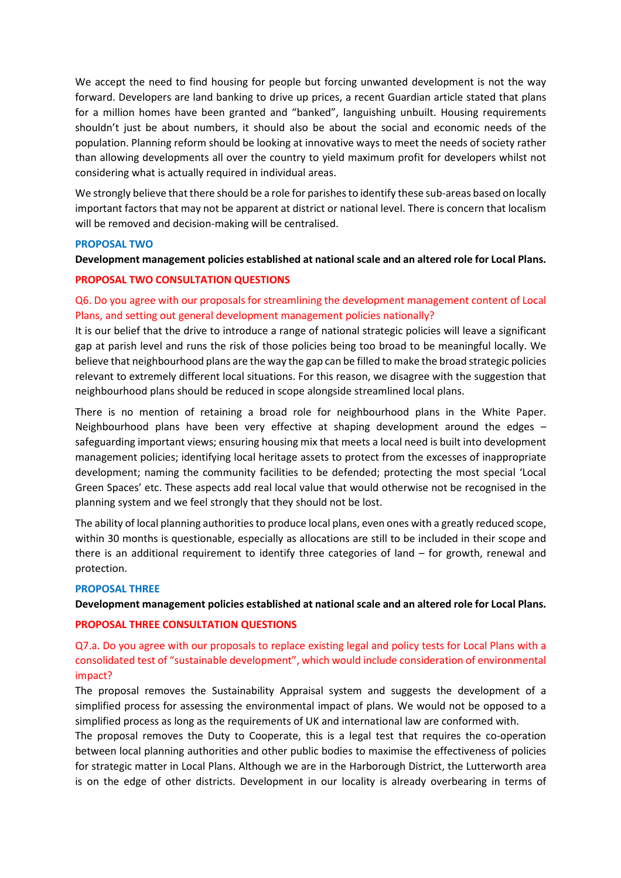We accept the need to find housing for people but forcing unwanted development is not the way forward. Developers are land banking to drive up prices, a recent Guardian article stated that plans for a million homes have been granted and "banked", languishing unbuilt. Housing requirements shouldn't just be about numbers, it should also be about the social and economic needs of the population. Planning reform should be looking at innovative ways to meet the needs of society rather than allowing developments all over the country to yield maximum profit for developers whilst not considering what is actually required in individual areas.

We strongly believe that there should be a role for parishes to identify these sub-areas based on locally important factors that may not be apparent at district or national level. There is concern that localism will be removed and decision-making will be centralised.

# **PROPOSAL TWO**

# **Development management policies established at national scale and an altered role for Local Plans.**

### **PROPOSAL TWO CONSULTATION QUESTIONS**

# Q6. Do you agree with our proposals for streamlining the development management content of Local Plans, and setting out general development management policies nationally?

It is our belief that the drive to introduce a range of national strategic policies will leave a significant gap at parish level and runs the risk of those policies being too broad to be meaningful locally. We believe that neighbourhood plans are the way the gap can be filled to make the broad strategic policies relevant to extremely different local situations. For this reason, we disagree with the suggestion that neighbourhood plans should be reduced in scope alongside streamlined local plans.

There is no mention of retaining a broad role for neighbourhood plans in the White Paper. Neighbourhood plans have been very effective at shaping development around the edges – safeguarding important views; ensuring housing mix that meets a local need is built into development management policies; identifying local heritage assets to protect from the excesses of inappropriate development; naming the community facilities to be defended; protecting the most special 'Local Green Spaces' etc. These aspects add real local value that would otherwise not be recognised in the planning system and we feel strongly that they should not be lost.

The ability of local planning authorities to produce local plans, even ones with a greatly reduced scope, within 30 months is questionable, especially as allocations are still to be included in their scope and there is an additional requirement to identify three categories of land – for growth, renewal and protection.

# **PROPOSAL THREE**

# **Development management policies established at national scale and an altered role for Local Plans.**

### **PROPOSAL THREE CONSULTATION QUESTIONS**

Q7.a. Do you agree with our proposals to replace existing legal and policy tests for Local Plans with a consolidated test of "sustainable development", which would include consideration of environmental impact?

The proposal removes the Sustainability Appraisal system and suggests the development of a simplified process for assessing the environmental impact of plans. We would not be opposed to a simplified process as long as the requirements of UK and international law are conformed with.

The proposal removes the Duty to Cooperate, this is a legal test that requires the co-operation between local planning authorities and other public bodies to maximise the effectiveness of policies for strategic matter in Local Plans. Although we are in the Harborough District, the Lutterworth area is on the edge of other districts. Development in our locality is already overbearing in terms of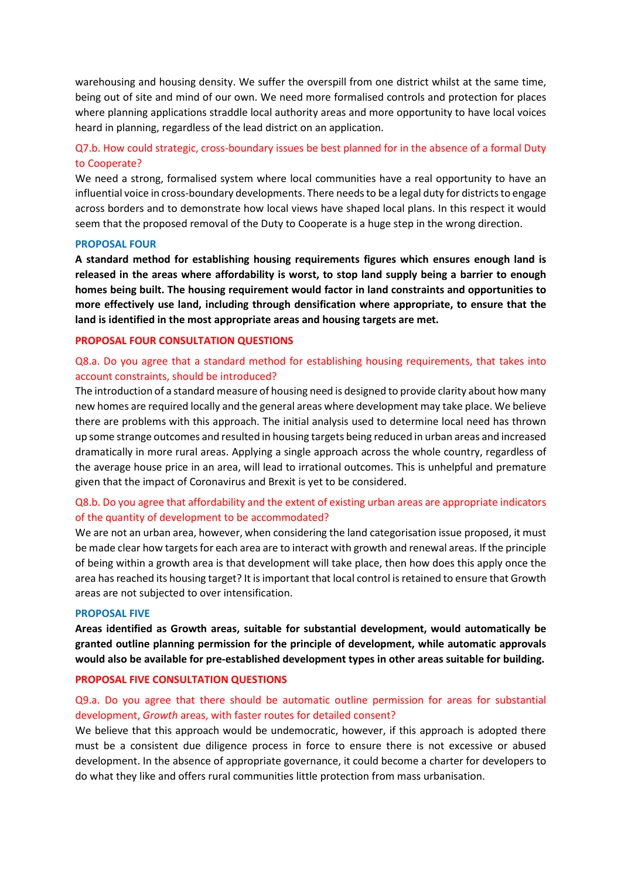warehousing and housing density. We suffer the overspill from one district whilst at the same time, being out of site and mind of our own. We need more formalised controls and protection for places where planning applications straddle local authority areas and more opportunity to have local voices heard in planning, regardless of the lead district on an application.

# Q7.b. How could strategic, cross-boundary issues be best planned for in the absence of a formal Duty to Cooperate?

We need a strong, formalised system where local communities have a real opportunity to have an influential voice in cross-boundary developments. There needs to be a legal duty for districts to engage across borders and to demonstrate how local views have shaped local plans. In this respect it would seem that the proposed removal of the Duty to Cooperate is a huge step in the wrong direction.

# **PROPOSAL FOUR**

**A standard method for establishing housing requirements figures which ensures enough land is released in the areas where affordability is worst, to stop land supply being a barrier to enough homes being built. The housing requirement would factor in land constraints and opportunities to more effectively use land, including through densification where appropriate, to ensure that the land is identified in the most appropriate areas and housing targets are met.** 

# **PROPOSAL FOUR CONSULTATION QUESTIONS**

# Q8.a. Do you agree that a standard method for establishing housing requirements, that takes into account constraints, should be introduced?

The introduction of a standard measure of housing need is designed to provide clarity about how many new homes are required locally and the general areas where development may take place. We believe there are problems with this approach. The initial analysis used to determine local need has thrown up some strange outcomes and resulted in housing targets being reduced in urban areas and increased dramatically in more rural areas. Applying a single approach across the whole country, regardless of the average house price in an area, will lead to irrational outcomes. This is unhelpful and premature given that the impact of Coronavirus and Brexit is yet to be considered.

# Q8.b. Do you agree that affordability and the extent of existing urban areas are appropriate indicators of the quantity of development to be accommodated?

We are not an urban area, however, when considering the land categorisation issue proposed, it must be made clear how targets for each area are to interact with growth and renewal areas. If the principle of being within a growth area is that development will take place, then how does this apply once the area has reached its housing target? It is important that local control is retained to ensure that Growth areas are not subjected to over intensification.

# **PROPOSAL FIVE**

**Areas identified as Growth areas, suitable for substantial development, would automatically be granted outline planning permission for the principle of development, while automatic approvals would also be available for pre-established development types in other areas suitable for building.** 

# **PROPOSAL FIVE CONSULTATION QUESTIONS**

# Q9.a. Do you agree that there should be automatic outline permission for areas for substantial development, *Growth* areas, with faster routes for detailed consent?

We believe that this approach would be undemocratic, however, if this approach is adopted there must be a consistent due diligence process in force to ensure there is not excessive or abused development. In the absence of appropriate governance, it could become a charter for developers to do what they like and offers rural communities little protection from mass urbanisation.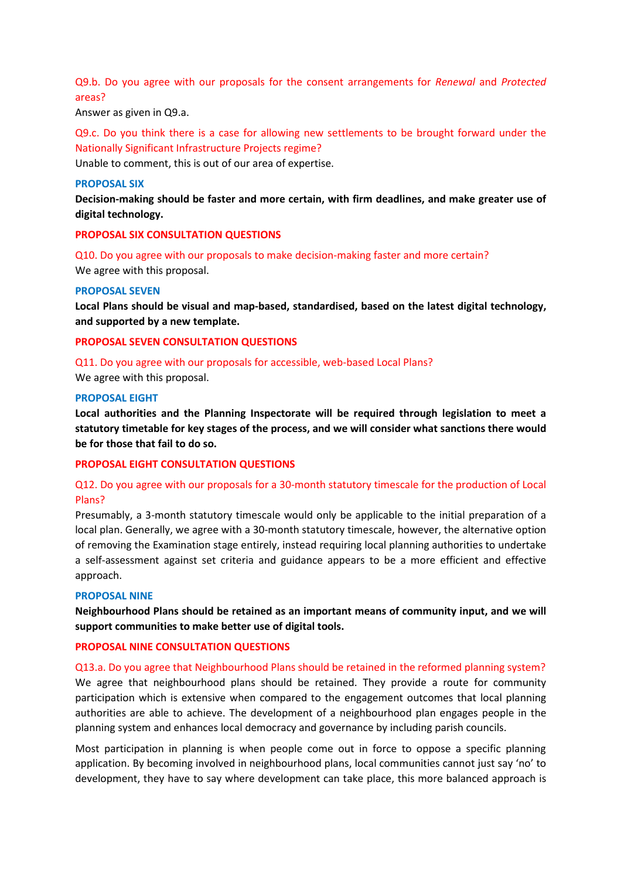Q9.b. Do you agree with our proposals for the consent arrangements for *Renewal* and *Protected* areas?

Answer as given in Q9.a.

Q9.c. Do you think there is a case for allowing new settlements to be brought forward under the Nationally Significant Infrastructure Projects regime?

Unable to comment, this is out of our area of expertise.

#### **PROPOSAL SIX**

**Decision-making should be faster and more certain, with firm deadlines, and make greater use of digital technology.** 

# **PROPOSAL SIX CONSULTATION QUESTIONS**

Q10. Do you agree with our proposals to make decision-making faster and more certain? We agree with this proposal.

### **PROPOSAL SEVEN**

**Local Plans should be visual and map-based, standardised, based on the latest digital technology, and supported by a new template.** 

### **PROPOSAL SEVEN CONSULTATION QUESTIONS**

Q11. Do you agree with our proposals for accessible, web-based Local Plans?

We agree with this proposal.

#### **PROPOSAL EIGHT**

**Local authorities and the Planning Inspectorate will be required through legislation to meet a statutory timetable for key stages of the process, and we will consider what sanctions there would be for those that fail to do so.** 

### **PROPOSAL EIGHT CONSULTATION QUESTIONS**

# Q12. Do you agree with our proposals for a 30-month statutory timescale for the production of Local Plans?

Presumably, a 3-month statutory timescale would only be applicable to the initial preparation of a local plan. Generally, we agree with a 30-month statutory timescale, however, the alternative option of removing the Examination stage entirely, instead requiring local planning authorities to undertake a self-assessment against set criteria and guidance appears to be a more efficient and effective approach.

### **PROPOSAL NINE**

**Neighbourhood Plans should be retained as an important means of community input, and we will support communities to make better use of digital tools.** 

### **PROPOSAL NINE CONSULTATION QUESTIONS**

Q13.a. Do you agree that Neighbourhood Plans should be retained in the reformed planning system? We agree that neighbourhood plans should be retained. They provide a route for community participation which is extensive when compared to the engagement outcomes that local planning authorities are able to achieve. The development of a neighbourhood plan engages people in the planning system and enhances local democracy and governance by including parish councils.

Most participation in planning is when people come out in force to oppose a specific planning application. By becoming involved in neighbourhood plans, local communities cannot just say 'no' to development, they have to say where development can take place, this more balanced approach is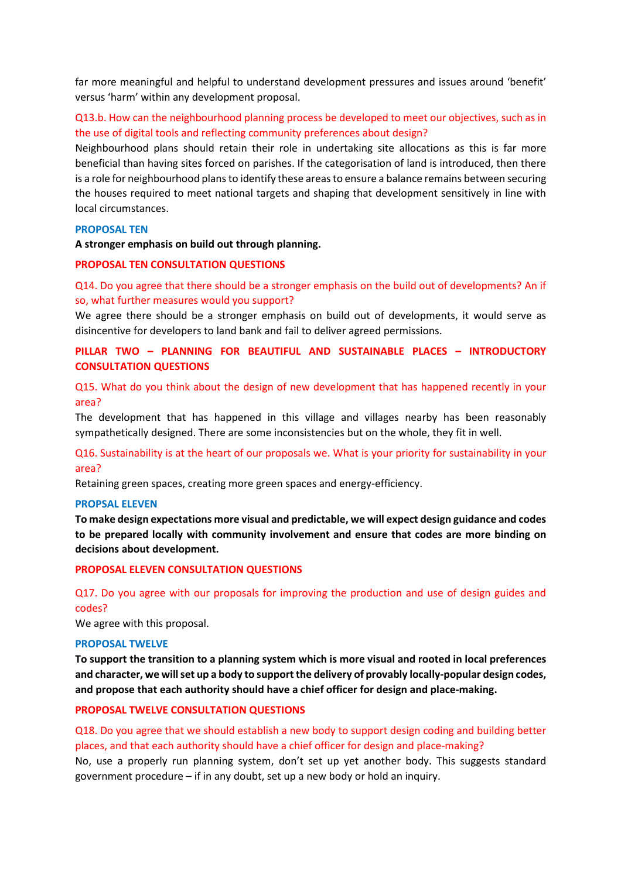far more meaningful and helpful to understand development pressures and issues around 'benefit' versus 'harm' within any development proposal.

# Q13.b. How can the neighbourhood planning process be developed to meet our objectives, such as in the use of digital tools and reflecting community preferences about design?

Neighbourhood plans should retain their role in undertaking site allocations as this is far more beneficial than having sites forced on parishes. If the categorisation of land is introduced, then there is a role for neighbourhood plans to identify these areas to ensure a balance remains between securing the houses required to meet national targets and shaping that development sensitively in line with local circumstances.

### **PROPOSAL TEN**

# **A stronger emphasis on build out through planning.**

### **PROPOSAL TEN CONSULTATION QUESTIONS**

Q14. Do you agree that there should be a stronger emphasis on the build out of developments? An if so, what further measures would you support?

We agree there should be a stronger emphasis on build out of developments, it would serve as disincentive for developers to land bank and fail to deliver agreed permissions.

# **PILLAR TWO – PLANNING FOR BEAUTIFUL AND SUSTAINABLE PLACES – INTRODUCTORY CONSULTATION QUESTIONS**

Q15. What do you think about the design of new development that has happened recently in your area?

The development that has happened in this village and villages nearby has been reasonably sympathetically designed. There are some inconsistencies but on the whole, they fit in well.

# Q16. Sustainability is at the heart of our proposals we. What is your priority for sustainability in your area?

Retaining green spaces, creating more green spaces and energy-efficiency.

### **PROPSAL ELEVEN**

**To make design expectations more visual and predictable, we will expect design guidance and codes to be prepared locally with community involvement and ensure that codes are more binding on decisions about development.** 

### **PROPOSAL ELEVEN CONSULTATION QUESTIONS**

# Q17. Do you agree with our proposals for improving the production and use of design guides and codes?

We agree with this proposal.

### **PROPOSAL TWELVE**

**To support the transition to a planning system which is more visual and rooted in local preferences and character, we will set up a body to support the delivery of provably locally-popular design codes, and propose that each authority should have a chief officer for design and place-making.** 

## **PROPOSAL TWELVE CONSULTATION QUESTIONS**

Q18. Do you agree that we should establish a new body to support design coding and building better places, and that each authority should have a chief officer for design and place-making?

No, use a properly run planning system, don't set up yet another body. This suggests standard government procedure – if in any doubt, set up a new body or hold an inquiry.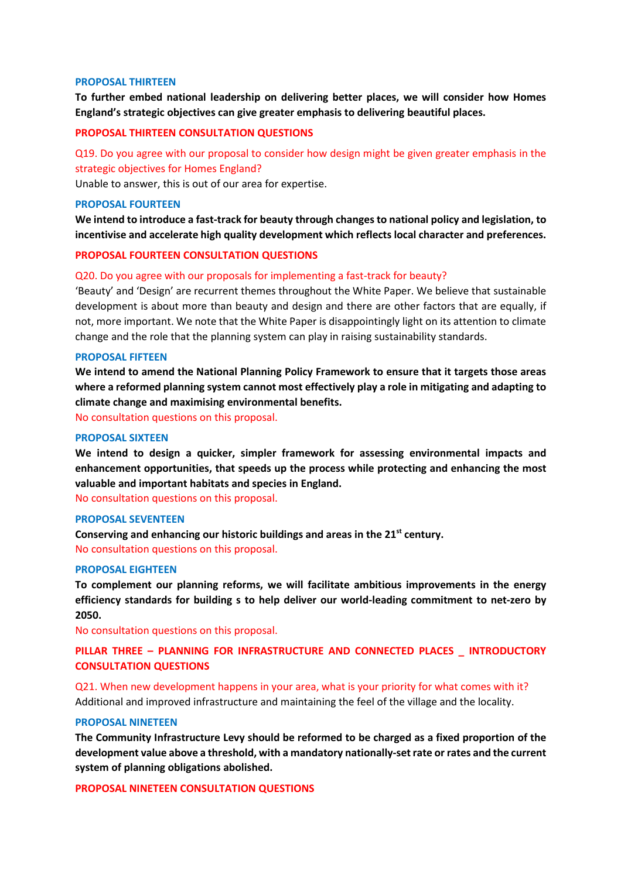### **PROPOSAL THIRTEEN**

**To further embed national leadership on delivering better places, we will consider how Homes England's strategic objectives can give greater emphasis to delivering beautiful places.** 

# **PROPOSAL THIRTEEN CONSULTATION QUESTIONS**

# Q19. Do you agree with our proposal to consider how design might be given greater emphasis in the strategic objectives for Homes England?

Unable to answer, this is out of our area for expertise.

### **PROPOSAL FOURTEEN**

**We intend to introduce a fast-track for beauty through changes to national policy and legislation, to incentivise and accelerate high quality development which reflects local character and preferences.** 

### **PROPOSAL FOURTEEN CONSULTATION QUESTIONS**

### Q20. Do you agree with our proposals for implementing a fast-track for beauty?

'Beauty' and 'Design' are recurrent themes throughout the White Paper. We believe that sustainable development is about more than beauty and design and there are other factors that are equally, if not, more important. We note that the White Paper is disappointingly light on its attention to climate change and the role that the planning system can play in raising sustainability standards.

### **PROPOSAL FIFTEEN**

**We intend to amend the National Planning Policy Framework to ensure that it targets those areas where a reformed planning system cannot most effectively play a role in mitigating and adapting to climate change and maximising environmental benefits.** 

No consultation questions on this proposal.

### **PROPOSAL SIXTEEN**

**We intend to design a quicker, simpler framework for assessing environmental impacts and enhancement opportunities, that speeds up the process while protecting and enhancing the most valuable and important habitats and species in England.** 

No consultation questions on this proposal.

# **PROPOSAL SEVENTEEN**

**Conserving and enhancing our historic buildings and areas in the 21st century.**  No consultation questions on this proposal.

### **PROPOSAL EIGHTEEN**

**To complement our planning reforms, we will facilitate ambitious improvements in the energy efficiency standards for building s to help deliver our world-leading commitment to net-zero by 2050.** 

No consultation questions on this proposal.

# **PILLAR THREE – PLANNING FOR INFRASTRUCTURE AND CONNECTED PLACES \_ INTRODUCTORY CONSULTATION QUESTIONS**

Q21. When new development happens in your area, what is your priority for what comes with it? Additional and improved infrastructure and maintaining the feel of the village and the locality.

### **PROPOSAL NINETEEN**

**The Community Infrastructure Levy should be reformed to be charged as a fixed proportion of the development value above a threshold, with a mandatory nationally-set rate or rates and the current system of planning obligations abolished.** 

**PROPOSAL NINETEEN CONSULTATION QUESTIONS**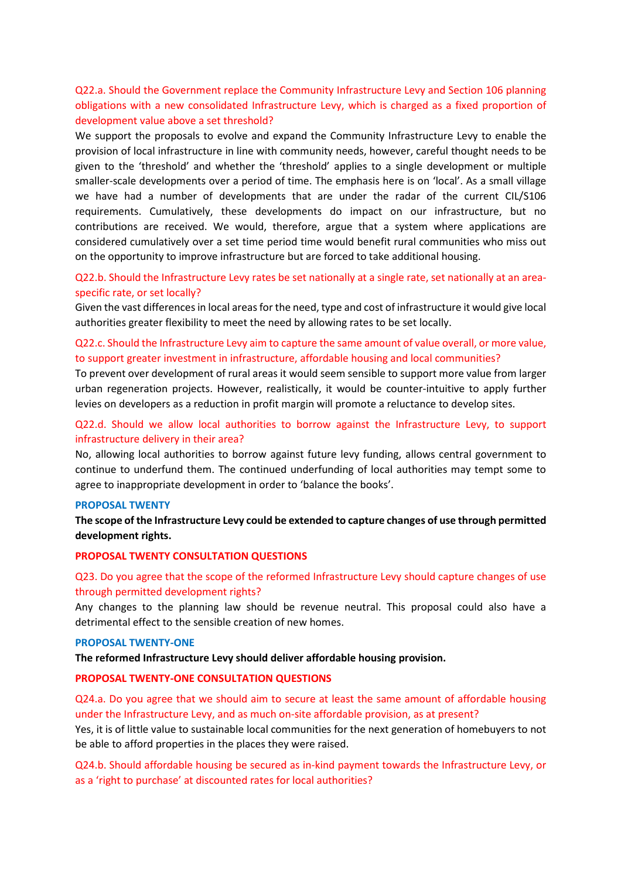# Q22.a. Should the Government replace the Community Infrastructure Levy and Section 106 planning obligations with a new consolidated Infrastructure Levy, which is charged as a fixed proportion of development value above a set threshold?

We support the proposals to evolve and expand the Community Infrastructure Levy to enable the provision of local infrastructure in line with community needs, however, careful thought needs to be given to the 'threshold' and whether the 'threshold' applies to a single development or multiple smaller-scale developments over a period of time. The emphasis here is on 'local'. As a small village we have had a number of developments that are under the radar of the current CIL/S106 requirements. Cumulatively, these developments do impact on our infrastructure, but no contributions are received. We would, therefore, argue that a system where applications are considered cumulatively over a set time period time would benefit rural communities who miss out on the opportunity to improve infrastructure but are forced to take additional housing.

# Q22.b. Should the Infrastructure Levy rates be set nationally at a single rate, set nationally at an areaspecific rate, or set locally?

Given the vast differences in local areas for the need, type and cost of infrastructure it would give local authorities greater flexibility to meet the need by allowing rates to be set locally.

# Q22.c. Should the Infrastructure Levy aim to capture the same amount of value overall, or more value, to support greater investment in infrastructure, affordable housing and local communities?

To prevent over development of rural areas it would seem sensible to support more value from larger urban regeneration projects. However, realistically, it would be counter-intuitive to apply further levies on developers as a reduction in profit margin will promote a reluctance to develop sites.

# Q22.d. Should we allow local authorities to borrow against the Infrastructure Levy, to support infrastructure delivery in their area?

No, allowing local authorities to borrow against future levy funding, allows central government to continue to underfund them. The continued underfunding of local authorities may tempt some to agree to inappropriate development in order to 'balance the books'.

# **PROPOSAL TWENTY**

**The scope of the Infrastructure Levy could be extended to capture changes of use through permitted development rights.** 

# **PROPOSAL TWENTY CONSULTATION QUESTIONS**

# Q23. Do you agree that the scope of the reformed Infrastructure Levy should capture changes of use through permitted development rights?

Any changes to the planning law should be revenue neutral. This proposal could also have a detrimental effect to the sensible creation of new homes.

### **PROPOSAL TWENTY-ONE**

**The reformed Infrastructure Levy should deliver affordable housing provision.**

# **PROPOSAL TWENTY-ONE CONSULTATION QUESTIONS**

Q24.a. Do you agree that we should aim to secure at least the same amount of affordable housing under the Infrastructure Levy, and as much on-site affordable provision, as at present?

Yes, it is of little value to sustainable local communities for the next generation of homebuyers to not be able to afford properties in the places they were raised.

Q24.b. Should affordable housing be secured as in-kind payment towards the Infrastructure Levy, or as a 'right to purchase' at discounted rates for local authorities?